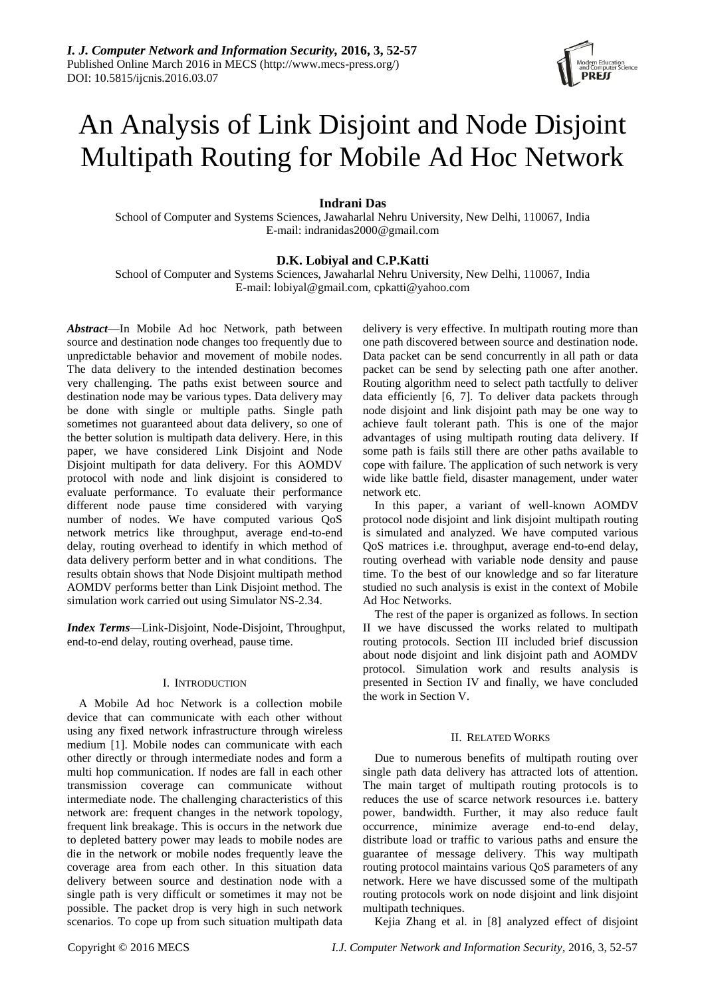

# An Analysis of Link Disjoint and Node Disjoint Multipath Routing for Mobile Ad Hoc Network

# **Indrani Das**

School of Computer and Systems Sciences, Jawaharlal Nehru University, New Delhi, 110067, India E-mail: indranidas2000@gmail.com

# **D.K. Lobiyal and C.P.Katti**

School of Computer and Systems Sciences, Jawaharlal Nehru University, New Delhi, 110067, India E-mail: lobiyal@gmail.com, cpkatti@yahoo.com

*Abstract*—In Mobile Ad hoc Network, path between source and destination node changes too frequently due to unpredictable behavior and movement of mobile nodes. The data delivery to the intended destination becomes very challenging. The paths exist between source and destination node may be various types. Data delivery may be done with single or multiple paths. Single path sometimes not guaranteed about data delivery, so one of the better solution is multipath data delivery. Here, in this paper, we have considered Link Disjoint and Node Disjoint multipath for data delivery. For this AOMDV protocol with node and link disjoint is considered to evaluate performance. To evaluate their performance different node pause time considered with varying number of nodes. We have computed various QoS network metrics like throughput, average end-to-end delay, routing overhead to identify in which method of data delivery perform better and in what conditions. The results obtain shows that Node Disjoint multipath method AOMDV performs better than Link Disjoint method. The simulation work carried out using Simulator NS-2.34.

*Index Terms*—Link-Disjoint, Node-Disjoint, Throughput, end-to-end delay, routing overhead, pause time.

## I. INTRODUCTION

A Mobile Ad hoc Network is a collection mobile device that can communicate with each other without using any fixed network infrastructure through wireless medium [1]. Mobile nodes can communicate with each other directly or through intermediate nodes and form a multi hop communication. If nodes are fall in each other transmission coverage can communicate without intermediate node. The challenging characteristics of this network are: frequent changes in the network topology, frequent link breakage. This is occurs in the network due to depleted battery power may leads to mobile nodes are die in the network or mobile nodes frequently leave the coverage area from each other. In this situation data delivery between source and destination node with a single path is very difficult or sometimes it may not be possible. The packet drop is very high in such network scenarios. To cope up from such situation multipath data delivery is very effective. In multipath routing more than one path discovered between source and destination node. Data packet can be send concurrently in all path or data packet can be send by selecting path one after another. Routing algorithm need to select path tactfully to deliver data efficiently [6, 7]. To deliver data packets through node disjoint and link disjoint path may be one way to achieve fault tolerant path. This is one of the major advantages of using multipath routing data delivery. If some path is fails still there are other paths available to cope with failure. The application of such network is very wide like battle field, disaster management, under water network etc.

In this paper, a variant of well-known AOMDV protocol node disjoint and link disjoint multipath routing is simulated and analyzed. We have computed various QoS matrices i.e. throughput, average end-to-end delay, routing overhead with variable node density and pause time. To the best of our knowledge and so far literature studied no such analysis is exist in the context of Mobile Ad Hoc Networks.

The rest of the paper is organized as follows. In section II we have discussed the works related to multipath routing protocols. Section III included brief discussion about node disjoint and link disjoint path and AOMDV protocol. Simulation work and results analysis is presented in Section IV and finally, we have concluded the work in Section V.

## II. RELATED WORKS

Due to numerous benefits of multipath routing over single path data delivery has attracted lots of attention. The main target of multipath routing protocols is to reduces the use of scarce network resources i.e. battery power, bandwidth. Further, it may also reduce fault occurrence, minimize average end-to-end delay, distribute load or traffic to various paths and ensure the guarantee of message delivery. This way multipath routing protocol maintains various QoS parameters of any network. Here we have discussed some of the multipath routing protocols work on node disjoint and link disjoint multipath techniques.

Kejia Zhang et al. in [8] analyzed effect of disjoint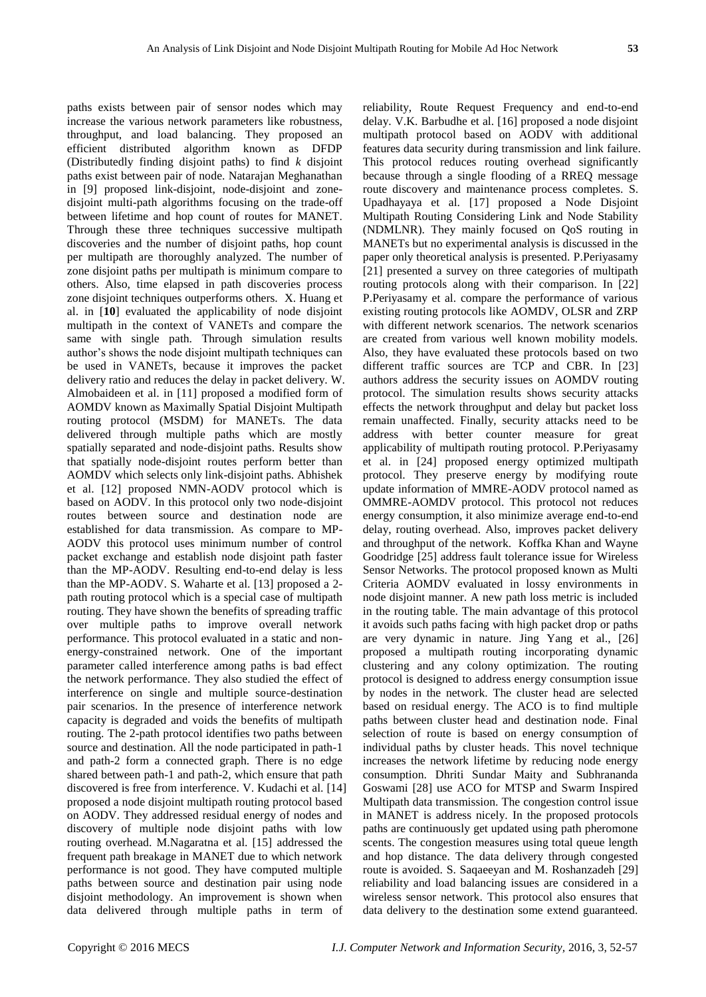paths exists between pair of sensor nodes which may increase the various network parameters like robustness, throughput, and load balancing. They proposed an efficient distributed algorithm known as DFDP (Distributedly finding disjoint paths) to find *k* disjoint paths exist between pair of node. Natarajan Meghanathan in [9] proposed link-disjoint, node-disjoint and zonedisjoint multi-path algorithms focusing on the trade-off between lifetime and hop count of routes for MANET. Through these three techniques successive multipath discoveries and the number of disjoint paths, hop count per multipath are thoroughly analyzed. The number of zone disjoint paths per multipath is minimum compare to others. Also, time elapsed in path discoveries process zone disjoint techniques outperforms others. X. Huang et al. in [**10**] evaluated the applicability of node disjoint multipath in the context of VANETs and compare the same with single path. Through simulation results author's shows the node disjoint multipath techniques can be used in VANETs, because it improves the packet delivery ratio and reduces the delay in packet delivery. W. Almobaideen et al. in [11] proposed a modified form of AOMDV known as Maximally Spatial Disjoint Multipath routing protocol (MSDM) for MANETs. The data delivered through multiple paths which are mostly spatially separated and node-disjoint paths. Results show that spatially node-disjoint routes perform better than AOMDV which selects only link-disjoint paths. Abhishek et al. [12] proposed NMN-AODV protocol which is based on AODV. In this protocol only two node-disjoint routes between source and destination node are established for data transmission. As compare to MP-AODV this protocol uses minimum number of control packet exchange and establish node disjoint path faster than the MP-AODV. Resulting end-to-end delay is less than the MP-AODV. S. Waharte et al. [13] proposed a 2 path routing protocol which is a special case of multipath routing. They have shown the benefits of spreading traffic over multiple paths to improve overall network performance. This protocol evaluated in a static and nonenergy-constrained network. One of the important parameter called interference among paths is bad effect the network performance. They also studied the effect of interference on single and multiple source-destination pair scenarios. In the presence of interference network capacity is degraded and voids the benefits of multipath routing. The 2-path protocol identifies two paths between source and destination. All the node participated in path-1 and path-2 form a connected graph. There is no edge shared between path-1 and path-2, which ensure that path discovered is free from interference. V. Kudachi et al. [14] proposed a node disjoint multipath routing protocol based on AODV. They addressed residual energy of nodes and discovery of multiple node disjoint paths with low routing overhead. M.Nagaratna et al. [15] addressed the frequent path breakage in MANET due to which network performance is not good. They have computed multiple paths between source and destination pair using node disjoint methodology. An improvement is shown when data delivered through multiple paths in term of

reliability, Route Request Frequency and end-to-end delay. V.K. Barbudhe et al. [16] proposed a node disjoint multipath protocol based on AODV with additional features data security during transmission and link failure. This protocol reduces routing overhead significantly because through a single flooding of a RREQ message route discovery and maintenance process completes. S. Upadhayaya et al. [17] proposed a Node Disjoint Multipath Routing Considering Link and Node Stability (NDMLNR). They mainly focused on QoS routing in MANETs but no experimental analysis is discussed in the paper only theoretical analysis is presented. P.Periyasamy [21] presented a survey on three categories of multipath routing protocols along with their comparison. In [22] P.Periyasamy et al. compare the performance of various existing routing protocols like AOMDV, OLSR and ZRP with different network scenarios. The network scenarios are created from various well known mobility models. Also, they have evaluated these protocols based on two different traffic sources are TCP and CBR. In [23] authors address the security issues on AOMDV routing protocol. The simulation results shows security attacks effects the network throughput and delay but packet loss remain unaffected. Finally, security attacks need to be address with better counter measure for great applicability of multipath routing protocol. P.Periyasamy et al. in [24] proposed energy optimized multipath protocol. They preserve energy by modifying route update information of MMRE-AODV protocol named as OMMRE-AOMDV protocol. This protocol not reduces energy consumption, it also minimize average end-to-end delay, routing overhead. Also, improves packet delivery and throughput of the network. Koffka Khan and Wayne Goodridge [25] address fault tolerance issue for Wireless Sensor Networks. The protocol proposed known as Multi Criteria AOMDV evaluated in lossy environments in node disjoint manner. A new path loss metric is included in the routing table. The main advantage of this protocol it avoids such paths facing with high packet drop or paths are very dynamic in nature. Jing Yang et al., [26] proposed a multipath routing incorporating dynamic clustering and any colony optimization. The routing protocol is designed to address energy consumption issue by nodes in the network. The cluster head are selected based on residual energy. The ACO is to find multiple paths between cluster head and destination node. Final selection of route is based on energy consumption of individual paths by cluster heads. This novel technique increases the network lifetime by reducing node energy consumption. Dhriti Sundar Maity and Subhrananda Goswami [28] use ACO for MTSP and Swarm Inspired Multipath data transmission. The congestion control issue in MANET is address nicely. In the proposed protocols paths are continuously get updated using path pheromone scents. The congestion measures using total queue length and hop distance. The data delivery through congested route is avoided. S. Saqaeeyan and M. Roshanzadeh [29] reliability and load balancing issues are considered in a wireless sensor network. This protocol also ensures that data delivery to the destination some extend guaranteed.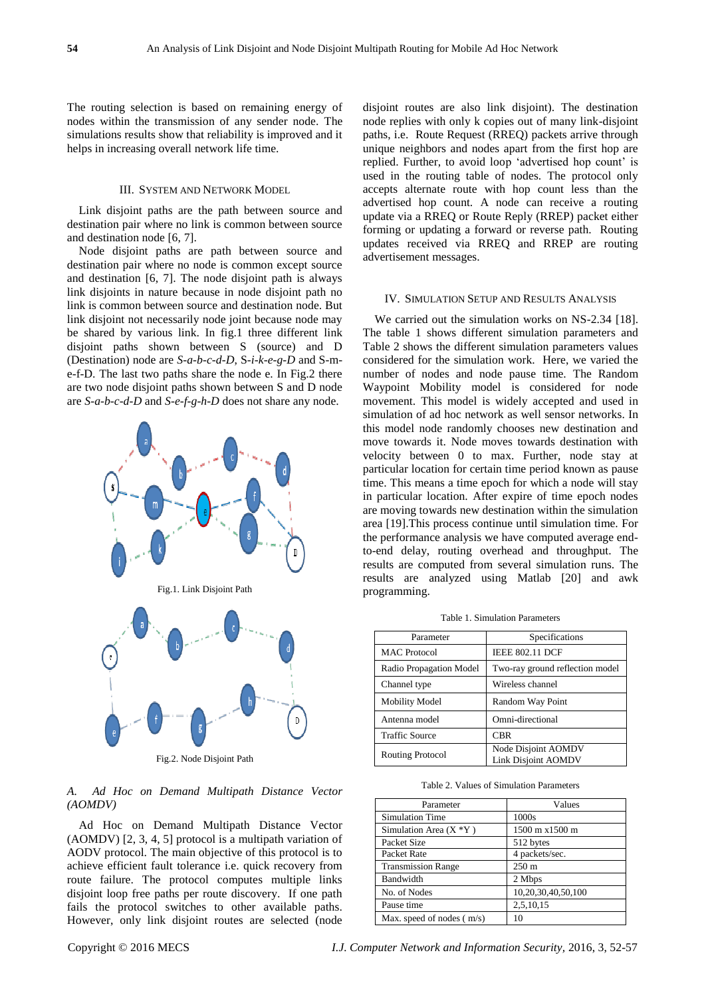The routing selection is based on remaining energy of nodes within the transmission of any sender node. The simulations results show that reliability is improved and it helps in increasing overall network life time.

# III. SYSTEM AND NETWORK MODEL

Link disjoint paths are the path between source and destination pair where no link is common between source and destination node [6, 7].

Node disjoint paths are path between source and destination pair where no node is common except source and destination [6, 7]. The node disjoint path is always link disjoints in nature because in node disjoint path no link is common between source and destination node. But link disjoint not necessarily node joint because node may be shared by various link. In fig.1 three different link disjoint paths shown between S (source) and D (Destination) node are *S-a-b-c-d-D*, S*-i-k-e-g-D* and S-me-f-D. The last two paths share the node e. In Fig.2 there are two node disjoint paths shown between S and D node are *S-a-b-c-d-D* and *S-e-f-g-h-D* does not share any node.



Fig.2. Node Disjoint Path

*A. Ad Hoc on Demand Multipath Distance Vector (AOMDV)*

Ad Hoc on Demand Multipath Distance Vector (AOMDV) [2, 3, 4, 5] protocol is a multipath variation of AODV protocol. The main objective of this protocol is to achieve efficient fault tolerance i.e. quick recovery from route failure. The protocol computes multiple links disjoint loop free paths per route discovery. If one path fails the protocol switches to other available paths. However, only link disjoint routes are selected (node disjoint routes are also link disjoint). The destination node replies with only k copies out of many link-disjoint paths, i.e. Route Request (RREQ) packets arrive through unique neighbors and nodes apart from the first hop are replied. Further, to avoid loop 'advertised hop count' is used in the routing table of nodes. The protocol only accepts alternate route with hop count less than the advertised hop count. A node can receive a routing update via a RREQ or Route Reply (RREP) packet either forming or updating a forward or reverse path. Routing updates received via RREQ and RREP are routing advertisement messages.

#### IV. SIMULATION SETUP AND RESULTS ANALYSIS

We carried out the simulation works on NS-2.34 [18]. The table 1 shows different simulation parameters and Table 2 shows the different simulation parameters values considered for the simulation work. Here, we varied the number of nodes and node pause time. The Random Waypoint Mobility model is considered for node movement. This model is widely accepted and used in simulation of ad hoc network as well sensor networks. In this model node randomly chooses new destination and move towards it. Node moves towards destination with velocity between 0 to max. Further, node stay at particular location for certain time period known as pause time. This means a time epoch for which a node will stay in particular location. After expire of time epoch nodes are moving towards new destination within the simulation area [19].This process continue until simulation time. For the performance analysis we have computed average endto-end delay, routing overhead and throughput. The results are computed from several simulation runs. The results are analyzed using Matlab [20] and awk programming.

Table 1. Simulation Parameters

| Parameter               | Specifications                                    |
|-------------------------|---------------------------------------------------|
| <b>MAC</b> Protocol     | <b>IEEE 802.11 DCF</b>                            |
| Radio Propagation Model | Two-ray ground reflection model                   |
| Channel type            | Wireless channel                                  |
| <b>Mobility Model</b>   | Random Way Point                                  |
| Antenna model           | Omni-directional                                  |
| <b>Traffic Source</b>   | <b>CBR</b>                                        |
| Routing Protocol        | Node Disjoint AOMDV<br><b>Link Disjoint AOMDV</b> |

Table 2. Values of Simulation Parameters

| Parameter                   | Values             |
|-----------------------------|--------------------|
| <b>Simulation Time</b>      | 1000s              |
| Simulation Area $(X^*Y)$    | 1500 m x1500 m     |
| Packet Size                 | 512 bytes          |
| Packet Rate                 | 4 packets/sec.     |
| <b>Transmission Range</b>   | $250 \text{ m}$    |
| Bandwidth                   | 2 Mbps             |
| No. of Nodes                | 10,20,30,40,50,100 |
| Pause time                  | 2,5,10,15          |
| Max. speed of nodes $(m/s)$ | 10                 |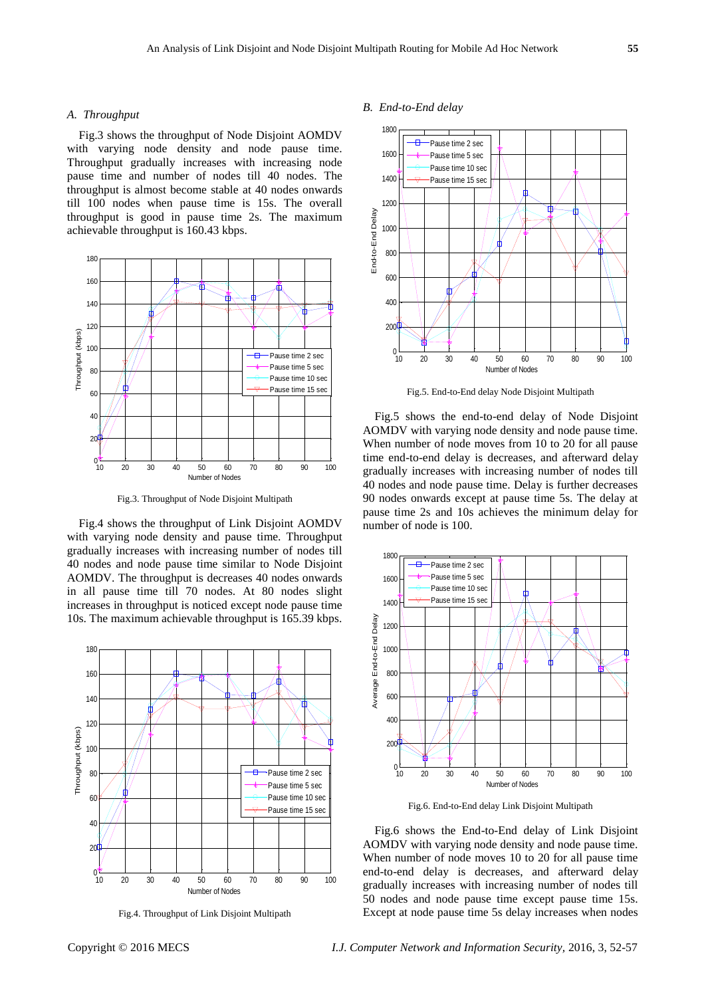#### *A. Throughput*

Fig.3 shows the throughput of Node Disjoint AOMDV with varying node density and node pause time. Throughput gradually increases with increasing node pause time and number of nodes till 40 nodes. The throughput is almost become stable at 40 nodes onwards till 100 nodes when pause time is 15s. The overall throughput is good in pause time 2s. The maximum achievable throughput is 160.43 kbps.



Fig.3. Throughput of Node Disjoint Multipath

Fig.4 shows the throughput of Link Disjoint AOMDV with varying node density and pause time. Throughput gradually increases with increasing number of nodes till 40 nodes and node pause time similar to Node Disjoint AOMDV. The throughput is decreases 40 nodes onwards in all pause time till 70 nodes. At 80 nodes slight increases in throughput is noticed except node pause time 10s. The maximum achievable throughput is 165.39 kbps.



Fig.4. Throughput of Link Disjoint Multipath



# Fig.6 shows the End-to-End delay of Link Disjoint AOMDV with varying node density and node pause time. When number of node moves 10 to 20 for all pause time end-to-end delay is decreases, and afterward delay gradually increases with increasing number of nodes till 50 nodes and node pause time except pause time 15s. Except at node pause time 5s delay increases when nodes

#### *B. End-to-End delay*



Fig.5. End-to-End delay Node Disjoint Multipath

Fig.5 shows the end-to-end delay of Node Disjoint AOMDV with varying node density and node pause time. When number of node moves from 10 to 20 for all pause time end-to-end delay is decreases, and afterward delay gradually increases with increasing number of nodes till 40 nodes and node pause time. Delay is further decreases 90 nodes onwards except at pause time 5s. The delay at pause time 2s and 10s achieves the minimum delay for number of node is 100.



Fig.6. End-to-End delay Link Disjoint Multipath

Copyright © 2016 MECS *I.J. Computer Network and Information Security,* 2016, 3, 52-57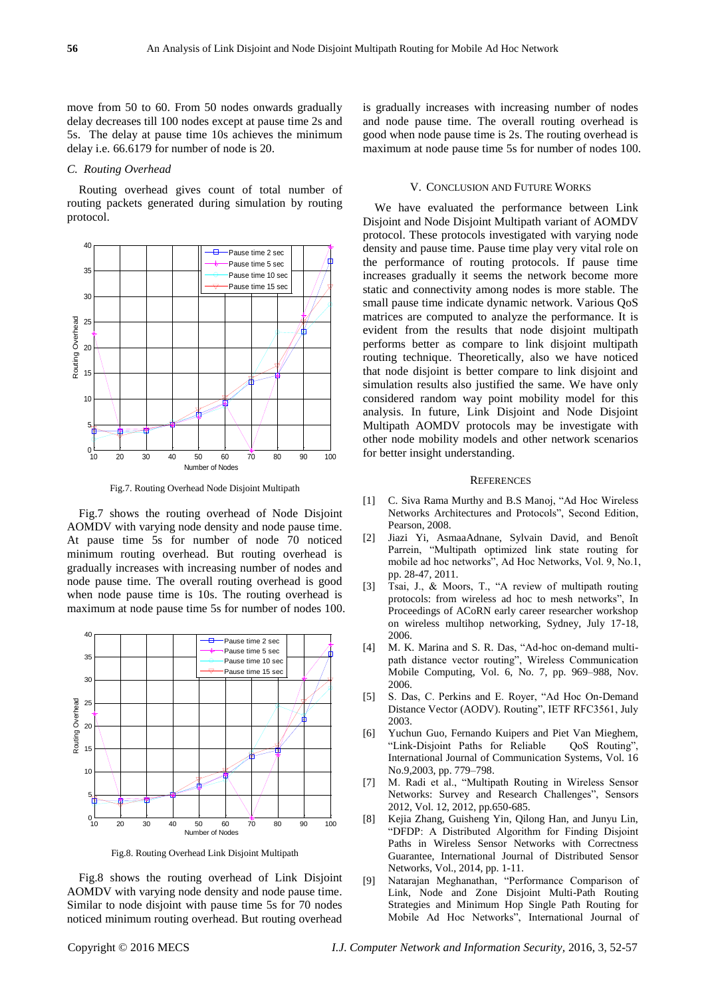move from 50 to 60. From 50 nodes onwards gradually delay decreases till 100 nodes except at pause time 2s and 5s. The delay at pause time 10s achieves the minimum delay i.e. 66.6179 for number of node is 20.

#### *C. Routing Overhead*

Routing overhead gives count of total number of routing packets generated during simulation by routing protocol.



Fig.7. Routing Overhead Node Disjoint Multipath

Fig.7 shows the routing overhead of Node Disjoint AOMDV with varying node density and node pause time. At pause time 5s for number of node 70 noticed minimum routing overhead. But routing overhead is gradually increases with increasing number of nodes and node pause time. The overall routing overhead is good when node pause time is 10s. The routing overhead is maximum at node pause time 5s for number of nodes 100.



Fig.8. Routing Overhead Link Disjoint Multipath

Fig.8 shows the routing overhead of Link Disjoint AOMDV with varying node density and node pause time. Similar to node disjoint with pause time 5s for 70 nodes noticed minimum routing overhead. But routing overhead is gradually increases with increasing number of nodes and node pause time. The overall routing overhead is good when node pause time is 2s. The routing overhead is maximum at node pause time 5s for number of nodes 100.

#### V. CONCLUSION AND FUTURE WORKS

We have evaluated the performance between Link Disjoint and Node Disjoint Multipath variant of AOMDV protocol. These protocols investigated with varying node density and pause time. Pause time play very vital role on the performance of routing protocols. If pause time increases gradually it seems the network become more static and connectivity among nodes is more stable. The small pause time indicate dynamic network. Various QoS matrices are computed to analyze the performance. It is evident from the results that node disjoint multipath performs better as compare to link disjoint multipath routing technique. Theoretically, also we have noticed that node disjoint is better compare to link disjoint and simulation results also justified the same. We have only considered random way point mobility model for this analysis. In future, Link Disjoint and Node Disjoint Multipath AOMDV protocols may be investigate with other node mobility models and other network scenarios for better insight understanding.

#### **REFERENCES**

- [1] C. Siva Rama Murthy and B.S Manoj, "Ad Hoc Wireless" Networks Architectures and Protocols", Second Edition, Pearson, 2008.
- [2] Jiazi Yi, AsmaaAdnane, Sylvain David, and Benoît Parrein, "Multipath optimized link state routing for mobile ad hoc networks", Ad Hoc Networks, Vol. 9, No.1, pp. 28-47, 2011.
- [3] Tsai, J., & Moors, T., "A review of multipath routing protocols: from wireless ad hoc to mesh networks", In Proceedings of ACoRN early career researcher workshop on wireless multihop networking, Sydney, July 17-18, 2006.
- [4] M. K. Marina and S. R. Das, "Ad-hoc on-demand multipath distance vector routing", Wireless Communication Mobile Computing, Vol. 6, No. 7, pp. 969–988, Nov. 2006.
- [5] S. Das, C. Perkins and E. Royer, "Ad Hoc On-Demand Distance Vector (AODV). Routing", IETF RFC3561, July 2003.
- [6] Yuchun Guo, Fernando Kuipers and Piet Van Mieghem, "Link-Disjoint Paths for Reliable QoS Routing", International Journal of Communication Systems, Vol. 16 No.9,2003, pp. 779–798.
- [7] M. Radi et al., "Multipath Routing in Wireless Sensor Networks: Survey and Research Challenges", Sensors 2012, Vol. 12, 2012, pp.650-685.
- [8] Kejia Zhang, Guisheng Yin, Qilong Han, and Junyu Lin, ―DFDP: A Distributed Algorithm for Finding Disjoint Paths in Wireless Sensor Networks with Correctness Guarantee, International Journal of Distributed Sensor Networks, Vol., 2014, pp. 1-11.
- [9] Natarajan Meghanathan, "Performance Comparison of Link, Node and Zone Disjoint Multi-Path Routing Strategies and Minimum Hop Single Path Routing for Mobile Ad Hoc Networks", International Journal of